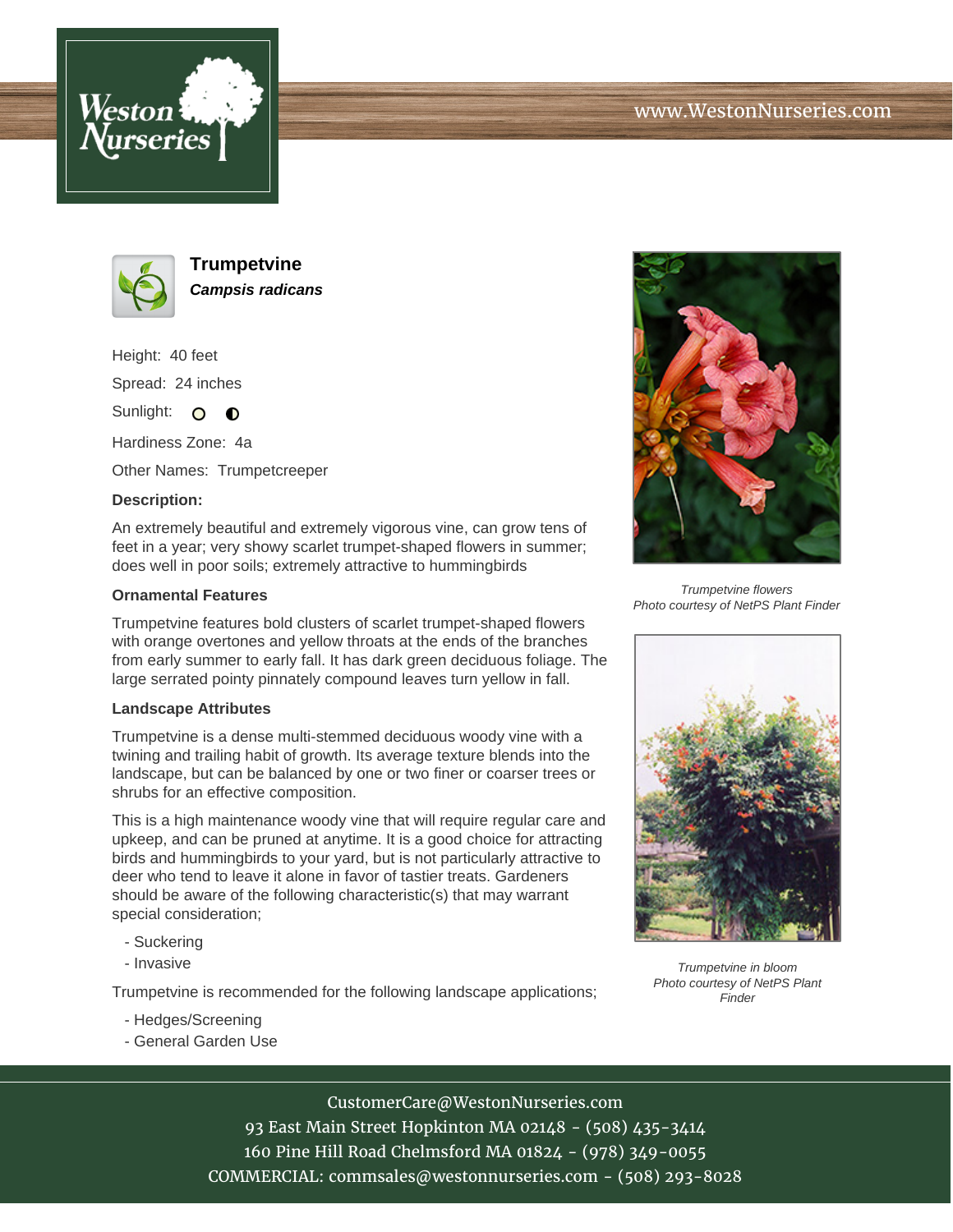





**Trumpetvine Campsis radicans**

Height: 40 feet Spread: 24 inches

Sunlight: O **O** 

Hardiness Zone: 4a

Other Names: Trumpetcreeper

## **Description:**

An extremely beautiful and extremely vigorous vine, can grow tens of feet in a year; very showy scarlet trumpet-shaped flowers in summer; does well in poor soils; extremely attractive to hummingbirds

## **Ornamental Features**

Trumpetvine features bold clusters of scarlet trumpet-shaped flowers with orange overtones and yellow throats at the ends of the branches from early summer to early fall. It has dark green deciduous foliage. The large serrated pointy pinnately compound leaves turn yellow in fall.

#### **Landscape Attributes**

Trumpetvine is a dense multi-stemmed deciduous woody vine with a twining and trailing habit of growth. Its average texture blends into the landscape, but can be balanced by one or two finer or coarser trees or shrubs for an effective composition.

This is a high maintenance woody vine that will require regular care and upkeep, and can be pruned at anytime. It is a good choice for attracting birds and hummingbirds to your yard, but is not particularly attractive to deer who tend to leave it alone in favor of tastier treats. Gardeners should be aware of the following characteristic(s) that may warrant special consideration;

- Suckering
- Invasive

Trumpetvine is recommended for the following landscape applications;

- Hedges/Screening
- General Garden Use



Trumpetvine flowers Photo courtesy of NetPS Plant Finder



Trumpetvine in bloom Photo courtesy of NetPS Plant Finder

## CustomerCare@WestonNurseries.com

93 East Main Street Hopkinton MA 02148 - (508) 435-3414 160 Pine Hill Road Chelmsford MA 01824 - (978) 349-0055 COMMERCIAL: commsales@westonnurseries.com - (508) 293-8028